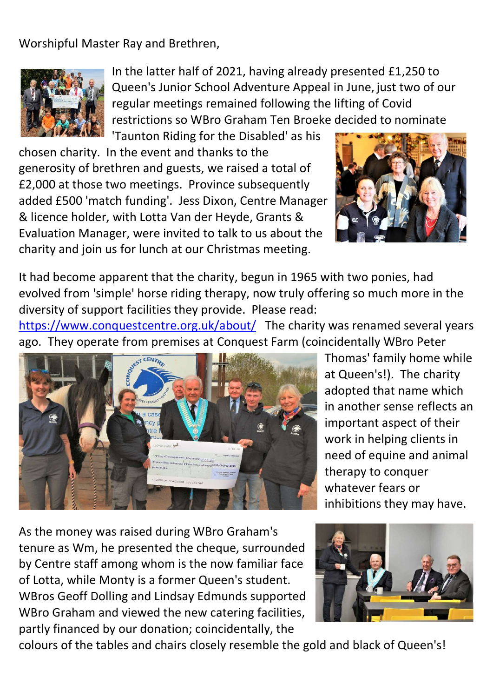Worshipful Master Ray and Brethren,



In the latter half of 2021, having already presented £1,250 to Queen's Junior School Adventure Appeal in June, just two of our regular meetings remained following the lifting of Covid restrictions so WBro Graham Ten Broeke decided to nominate 'Taunton Riding for the Disabled' as his

chosen charity. In the event and thanks to the generosity of brethren and guests, we raised a total of £2,000 at those two meetings. Province subsequently added £500 'match funding'. Jess Dixon, Centre Manager & licence holder, with Lotta Van der Heyde, Grants & Evaluation Manager, were invited to talk to us about the charity and join us for lunch at our Christmas meeting.



It had become apparent that the charity, begun in 1965 with two ponies, had evolved from 'simple' horse riding therapy, now truly offering so much more in the diversity of support facilities they provide. Please read:

https://www.conquestcentre.org.uk/about/ The charity was renamed several years ago. They operate from premises at Conquest Farm (coincidentally WBro Peter



Thomas' family home while at Queen's!). The charity adopted that name which in another sense reflects an important aspect of their work in helping clients in need of equine and animal therapy to conquer whatever fears or inhibitions they may have.

As the money was raised during WBro Graham's tenure as Wm, he presented the cheque, surrounded by Centre staff among whom is the now familiar face of Lotta, while Monty is a former Queen's student. WBros Geoff Dolling and Lindsay Edmunds supported WBro Graham and viewed the new catering facilities, partly financed by our donation; coincidentally, the



colours of the tables and chairs closely resemble the gold and black of Queen's!